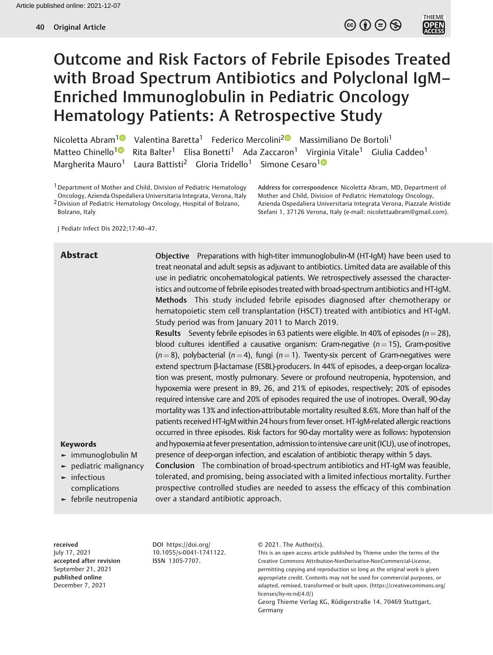$\circledcirc \circledcirc \circledcirc$ 

**THIEME**<br>**OPEN**<br>ACCESS



Nicoletta Abram<sup>10</sup> Valentina Baretta<sup>1</sup> Federico Mercolini<sup>[2](https://orcid.org/0000-0001-9932-1944)0</sup> Massimiliano De Bortoli<sup>1</sup> Matteo Chinello<sup>1</sup><sup>®</sup> Rita Balter<sup>1</sup> Elisa Bonetti<sup>1</sup> Ada Zaccaron<sup>1</sup> Virginia Vitale<sup>1</sup> Giulia Caddeo<sup>1</sup> Margherita Mauro<sup>[1](https://orcid.org/0000-0002-8698-9547)</sup> Laura Battisti<sup>2</sup> Gloria Tridello<sup>1</sup> Simone Cesaro<sup>10</sup>

<sup>1</sup> Department of Mother and Child, Division of Pediatric Hematology Oncology, Azienda Ospedaliera Universitaria Integrata, Verona, Italy 2Division of Pediatric Hematology Oncology, Hospital of Bolzano, Bolzano, Italy

Address for correspondence Nicoletta Abram, MD, Department of Mother and Child, Division of Pediatric Hematology Oncology, Azienda Ospedaliera Universitaria Integrata Verona, Piazzale Aristide Stefani 1, 37126 Verona, Italy (e-mail: [nicolettaabram@gmail.com](mailto:nicolettaabram@gmail.com)).

J Pediatr Infect Dis 2022;17:40–47.

Abstract **Channel Channel Channel Preparations with high-titer immunoglobulin-M (HT-IgM) have been used to** treat neonatal and adult sepsis as adjuvant to antibiotics. Limited data are available of this use in pediatric oncohematological patients. We retrospectively assessed the characteristics and outcome of febrile episodes treated with broad-spectrum antibiotics and HT-IgM. Methods This study included febrile episodes diagnosed after chemotherapy or hematopoietic stem cell transplantation (HSCT) treated with antibiotics and HT-IgM. Study period was from January 2011 to March 2019.

> Results Seventy febrile episodes in 63 patients were eligible. In 40% of episodes ( $n = 28$ ), blood cultures identified a causative organism: Gram-negative ( $n = 15$ ), Gram-positive  $(n = 8)$ , polybacterial (n = 4), fungi (n = 1). Twenty-six percent of Gram-negatives were extend spectrum β-lactamase (ESBL)-producers. In 44% of episodes, a deep-organ localization was present, mostly pulmonary. Severe or profound neutropenia, hypotension, and hypoxemia were present in 89, 26, and 21% of episodes, respectively; 20% of episodes required intensive care and 20% of episodes required the use of inotropes. Overall, 90-day mortality was 13% and infection-attributable mortality resulted 8.6%. More than half of the patients received HT-IgM within 24 hours from fever onset. HT-IgM-related allergic reactions occurred in three episodes. Risk factors for 90-day mortality were as follows: hypotension and hypoxemia at fever presentation, admission to intensive care unit (ICU), use of inotropes, presence of deep-organ infection, and escalation of antibiotic therapy within 5 days.

#### Keywords

- ► immunoglobulin M
- ► pediatric malignancy
- ► infectious complications
- ► febrile neutropenia

Conclusion The combination of broad-spectrum antibiotics and HT-IgM was feasible, tolerated, and promising, being associated with a limited infectious mortality. Further prospective controlled studies are needed to assess the efficacy of this combination over a standard antibiotic approach.

received July 17, 2021 accepted after revision September 21, 2021 published online December 7, 2021

DOI [https://doi.org/](https://doi.org/10.1055/s-0041-1741122) [10.1055/s-0041-1741122](https://doi.org/10.1055/s-0041-1741122). ISSN 1305-7707.

© 2021. The Author(s).

This is an open access article published by Thieme under the terms of the Creative Commons Attribution-NonDerivative-NonCommercial-License, permitting copying and reproduction so long as the original work is given appropriate credit. Contents may not be used for commercial purposes, or adapted, remixed, transformed or built upon. (https://creativecommons.org/ licenses/by-nc-nd/4.0/)

Georg Thieme Verlag KG, Rüdigerstraße 14, 70469 Stuttgart, Germany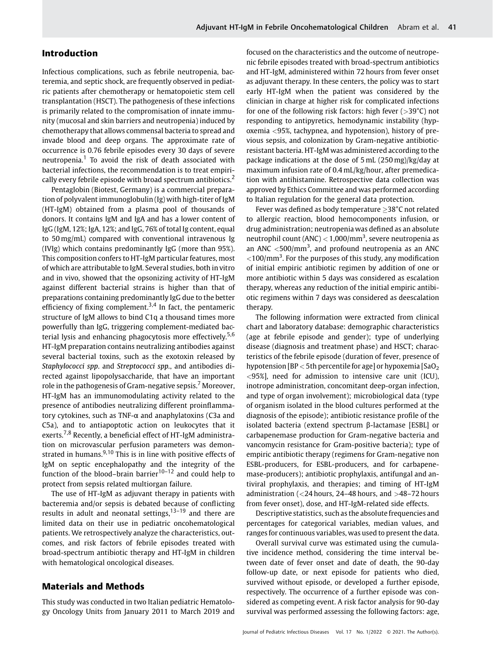# Introduction

Infectious complications, such as febrile neutropenia, bacteremia, and septic shock, are frequently observed in pediatric patients after chemotherapy or hematopoietic stem cell transplantation (HSCT). The pathogenesis of these infections is primarily related to the compromisation of innate immunity (mucosal and skin barriers and neutropenia) induced by chemotherapy that allows commensal bacteria to spread and invade blood and deep organs. The approximate rate of occurrence is 0.76 febrile episodes every 30 days of severe neutropenia. $1$  To avoid the risk of death associated with bacterial infections, the recommendation is to treat empirically every febrile episode with broad spectrum antibiotics.<sup>2</sup>

Pentaglobin (Biotest, Germany) is a commercial preparation of polyvalent immunoglobulin (Ig) with high-titer of IgM (HT-IgM) obtained from a plasma pool of thousands of donors. It contains IgM and IgA and has a lower content of IgG (IgM, 12%; IgA, 12%; and IgG, 76% of total Ig content, equal to 50 mg/mL) compared with conventional intravenous Ig (IVIg) which contains predominantly IgG (more than 95%). This composition confers to HT-IgM particular features, most of which are attributable to IgM. Several studies, both in vitro and in vivo, showed that the opsonizing activity of HT-IgM against different bacterial strains is higher than that of preparations containing predominantly IgG due to the better efficiency of fixing complement.<sup>3,4</sup> In fact, the pentameric structure of IgM allows to bind C1q a thousand times more powerfully than IgG, triggering complement-mediated bacterial lysis and enhancing phagocytosis more effectively.<sup>5,6</sup> HT-IgM preparation contains neutralizing antibodies against several bacterial toxins, such as the exotoxin released by Staphylococci spp. and Streptococci spp., and antibodies directed against lipopolysaccharide, that have an important role in the pathogenesis of Gram-negative sepsis.<sup>7</sup> Moreover, HT-IgM has an immunomodulating activity related to the presence of antibodies neutralizing different proinflammatory cytokines, such as TNF-α and anaphylatoxins (C3a and C5a), and to antiapoptotic action on leukocytes that it exerts.<sup>7,8</sup> Recently, a beneficial effect of HT-IgM administration on microvascular perfusion parameters was demonstrated in humans. $9,10$  This is in line with positive effects of IgM on septic encephalopathy and the integrity of the function of the blood–brain barrier $10-12$  and could help to protect from sepsis related multiorgan failure.

The use of HT-IgM as adjuvant therapy in patients with bacteremia and/or sepsis is debated because of conflicting results in adult and neonatal settings, $13-19$  and there are limited data on their use in pediatric oncohematological patients. We retrospectively analyze the characteristics, outcomes, and risk factors of febrile episodes treated with broad-spectrum antibiotic therapy and HT-IgM in children with hematological oncological diseases.

## Materials and Methods

This study was conducted in two Italian pediatric Hematology Oncology Units from January 2011 to March 2019 and focused on the characteristics and the outcome of neutropenic febrile episodes treated with broad-spectrum antibiotics and HT-IgM, administered within 72 hours from fever onset as adjuvant therapy. In these centers, the policy was to start early HT-IgM when the patient was considered by the clinician in charge at higher risk for complicated infections for one of the following risk factors: high fever  $(>39^{\circ}C)$  not responding to antipyretics, hemodynamic instability (hypoxemia <95%, tachypnea, and hypotension), history of previous sepsis, and colonization by Gram-negative antibioticresistant bacteria. HT-IgM was administered according to the package indications at the dose of 5 mL (250 mg)/kg/day at maximum infusion rate of 0.4 mL/kg/hour, after premedication with antihistamine. Retrospective data collection was approved by Ethics Committee and was performed according to Italian regulation for the general data protection.

Fever was defined as body temperature  $\geq$ 38°C not related to allergic reaction, blood hemocomponents infusion, or drug administration; neutropenia was defined as an absolute neutrophil count (ANC)  $<$  1,000/mm<sup>3</sup>, severe neutropenia as an ANC  $<$  500/mm<sup>3</sup>, and profound neutropenia as an ANC  $<$ 100/mm<sup>3</sup>. For the purposes of this study, any modification of initial empiric antibiotic regimen by addition of one or more antibiotic within 5 days was considered as escalation therapy, whereas any reduction of the initial empiric antibiotic regimens within 7 days was considered as deescalation therapy.

The following information were extracted from clinical chart and laboratory database: demographic characteristics (age at febrile episode and gender); type of underlying disease (diagnosis and treatment phase) and HSCT; characteristics of the febrile episode (duration of fever, presence of hypotension [BP  $<$  5th percentile for age] or hypoxemia [SaO<sub>2</sub>] <95%], need for admission to intensive care unit (ICU), inotrope administration, concomitant deep-organ infection, and type of organ involvement); microbiological data (type of organism isolated in the blood cultures performed at the diagnosis of the episode); antibiotic resistance profile of the isolated bacteria (extend spectrum β-lactamase [ESBL] or carbapenemase production for Gram-negative bacteria and vancomycin resistance for Gram-positive bacteria); type of empiric antibiotic therapy (regimens for Gram-negative non ESBL-producers, for ESBL-producers, and for carbapenemase-producers); antibiotic prophylaxis, antifungal and antiviral prophylaxis, and therapies; and timing of HT-IgM administration ( $<$ 24 hours, 24–48 hours, and  $>$ 48–72 hours from fever onset), dose, and HT-IgM-related side effects.

Descriptive statistics, such as the absolute frequencies and percentages for categorical variables, median values, and ranges for continuous variables, was used to present the data.

Overall survival curve was estimated using the cumulative incidence method, considering the time interval between date of fever onset and date of death, the 90-day follow-up date, or next episode for patients who died, survived without episode, or developed a further episode, respectively. The occurrence of a further episode was considered as competing event. A risk factor analysis for 90-day survival was performed assessing the following factors: age,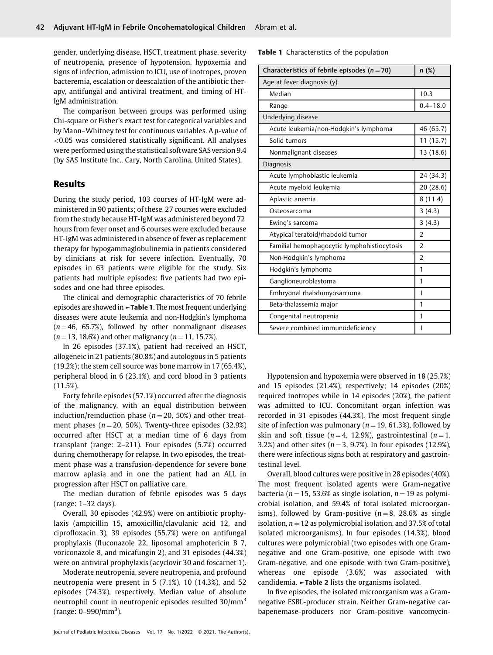gender, underlying disease, HSCT, treatment phase, severity of neutropenia, presence of hypotension, hypoxemia and signs of infection, admission to ICU, use of inotropes, proven bacteremia, escalation or deescalation of the antibiotic therapy, antifungal and antiviral treatment, and timing of HT-IgM administration.

The comparison between groups was performed using Chi-square or Fisher's exact test for categorical variables and by Mann–Whitney test for continuous variables. A p-value of <0.05 was considered statistically significant. All analyses were performed using the statistical software SAS version 9.4 (by SAS Institute Inc., Cary, North Carolina, United States).

## Results

During the study period, 103 courses of HT-IgM were administered in 90 patients; of these, 27 courses were excluded from the study because HT-IgM was administered beyond 72 hours from fever onset and 6 courses were excluded because HT-IgM was administered in absence of fever as replacement therapy for hypogammaglobulinemia in patients considered by clinicians at risk for severe infection. Eventually, 70 episodes in 63 patients were eligible for the study. Six patients had multiple episodes: five patients had two episodes and one had three episodes.

The clinical and demographic characteristics of 70 febrile episodes are showed in ►Table 1. The most frequent underlying diseases were acute leukemia and non-Hodgkin's lymphoma  $(n = 46, 65.7%)$ , followed by other nonmalignant diseases  $(n = 13, 18.6\%)$  and other malignancy  $(n = 11, 15.7\%).$ 

In 26 episodes (37.1%), patient had received an HSCT, allogeneic in 21 patients (80.8%) and autologous in 5 patients (19.2%); the stem cell source was bone marrow in 17 (65.4%), peripheral blood in 6 (23.1%), and cord blood in 3 patients (11.5%).

Forty febrile episodes (57.1%) occurred after the diagnosis of the malignancy, with an equal distribution between induction/reinduction phase ( $n = 20$ , 50%) and other treatment phases ( $n = 20, 50\%$ ). Twenty-three episodes (32.9%) occurred after HSCT at a median time of 6 days from transplant (range: 2–211). Four episodes (5.7%) occurred during chemotherapy for relapse. In two episodes, the treatment phase was a transfusion-dependence for severe bone marrow aplasia and in one the patient had an ALL in progression after HSCT on palliative care.

The median duration of febrile episodes was 5 days (range: 1–32 days).

Overall, 30 episodes (42.9%) were on antibiotic prophylaxis (ampicillin 15, amoxicillin/clavulanic acid 12, and ciprofloxacin 3), 39 episodes (55.7%) were on antifungal prophylaxis (fluconazole 22, liposomal amphotericin B 7, voriconazole 8, and micafungin 2), and 31 episodes (44.3%) were on antiviral prophylaxis (acyclovir 30 and foscarnet 1).

Moderate neutropenia, severe neutropenia, and profound neutropenia were present in 5 (7.1%), 10 (14.3%), and 52 episodes (74.3%), respectively. Median value of absolute neutrophil count in neutropenic episodes resulted 30/mm<sup>3</sup> (range: 0–990/mm<sup>3</sup>).

Table 1 Characteristics of the population

| Characteristics of febrile episodes ( $n = 70$ ) | n (%)          |  |
|--------------------------------------------------|----------------|--|
| Age at fever diagnosis (y)                       |                |  |
| Median                                           | 10.3           |  |
| Range                                            | $0.4 - 18.0$   |  |
| Underlying disease                               |                |  |
| Acute leukemia/non-Hodgkin's lymphoma            | 46 (65.7)      |  |
| Solid tumors                                     | 11(15.7)       |  |
| Nonmalignant diseases                            | 13 (18.6)      |  |
| Diagnosis                                        |                |  |
| Acute lymphoblastic leukemia                     | 24 (34.3)      |  |
| Acute myeloid leukemia                           | 20 (28.6)      |  |
| Aplastic anemia                                  | 8(11.4)        |  |
| Osteosarcoma                                     | 3(4.3)         |  |
| Ewing's sarcoma                                  | 3(4.3)         |  |
| Atypical teratoid/rhabdoid tumor                 | $\overline{2}$ |  |
| Familial hemophagocytic lymphohistiocytosis      | $\overline{2}$ |  |
| Non-Hodgkin's lymphoma                           | $\overline{2}$ |  |
| Hodgkin's lymphoma                               | 1              |  |
| Ganglioneuroblastoma                             | 1              |  |
| Embryonal rhabdomyosarcoma                       | 1              |  |
| Beta-thalassemia major                           | 1              |  |
| Congenital neutropenia                           | 1              |  |
| Severe combined immunodeficiency                 | 1              |  |

Hypotension and hypoxemia were observed in 18 (25.7%) and 15 episodes (21.4%), respectively; 14 episodes (20%) required inotropes while in 14 episodes (20%), the patient was admitted to ICU. Concomitant organ infection was recorded in 31 episodes (44.3%). The most frequent single site of infection was pulmonary ( $n = 19, 61.3\%$ ), followed by skin and soft tissue ( $n = 4$ , 12.9%), gastrointestinal ( $n = 1$ , 3.2%) and other sites ( $n = 3$ , 9.7%). In four episodes (12.9%), there were infectious signs both at respiratory and gastrointestinal level.

Overall, blood cultures were positive in 28 episodes (40%). The most frequent isolated agents were Gram-negative bacteria ( $n = 15$ , 53.6% as single isolation,  $n = 19$  as polymicrobial isolation, and 59.4% of total isolated microorganisms), followed by Gram-positive ( $n = 8$ , 28.6% as single isolation,  $n = 12$  as polymicrobial isolation, and 37.5% of total isolated microorganisms). In four episodes (14.3%), blood cultures were polymicrobial (two episodes with one Gramnegative and one Gram-positive, one episode with two Gram-negative, and one episode with two Gram-positive), whereas one episode (3.6%) was associated with candidemia.  $\blacktriangleright$ Table 2 lists the organisms isolated.

In five episodes, the isolated microorganism was a Gramnegative ESBL-producer strain. Neither Gram-negative carbapenemase-producers nor Gram-positive vancomycin-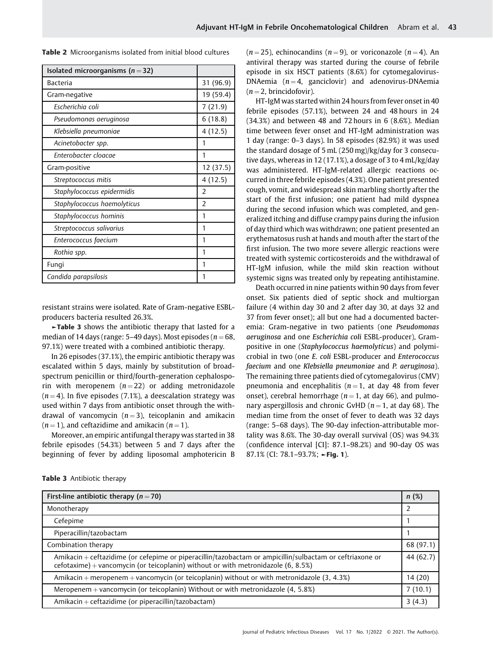Table 2 Microorganisms isolated from initial blood cultures

| Isolated microorganisms ( $n = 32$ ) |                |
|--------------------------------------|----------------|
| Bacteria                             | 31 (96.9)      |
| Gram-negative                        | 19 (59.4)      |
| Escherichia coli                     | 7(21.9)        |
| Pseudomonas aeruginosa               | 6(18.8)        |
| Klebsiella pneumoniae                | 4(12.5)        |
| Acinetobacter spp.                   | 1              |
| Enterobacter cloacae                 |                |
| Gram-positive                        | 12 (37.5)      |
| Streptococcus mitis                  | 4(12.5)        |
| Staphylococcus epidermidis           | $\mathcal{P}$  |
| Staphylococcus haemolyticus          | $\overline{2}$ |
| Staphylococcus hominis               | 1              |
| Streptococcus salivarius             | 1              |
| Enterococcus faecium                 | 1              |
| Rothia spp.                          | 1              |
| Fungi                                | 1              |
| Candida parapsilosis                 | 1              |

resistant strains were isolated. Rate of Gram-negative ESBLproducers bacteria resulted 26.3%.

►Table 3 shows the antibiotic therapy that lasted for a median of 14 days (range:  $5-49$  days). Most episodes ( $n = 68$ , 97.1%) were treated with a combined antibiotic therapy.

In 26 episodes (37.1%), the empiric antibiotic therapy was escalated within 5 days, mainly by substitution of broadspectrum penicillin or third/fourth-generation cephalosporin with meropenem  $(n=22)$  or adding metronidazole  $(n = 4)$ . In five episodes (7.1%), a deescalation strategy was used within 7 days from antibiotic onset through the withdrawal of vancomycin  $(n = 3)$ , teicoplanin and amikacin  $(n = 1)$ , and ceftazidime and amikacin  $(n = 1)$ .

Moreover, an empiric antifungal therapy was started in 38 febrile episodes (54.3%) between 5 and 7 days after the beginning of fever by adding liposomal amphotericin B  $(n = 25)$ , echinocandins  $(n = 9)$ , or voriconazole  $(n = 4)$ . An antiviral therapy was started during the course of febrile episode in six HSCT patients (8.6%) for cytomegalovirus-DNAemia  $(n = 4,$  ganciclovir) and adenovirus-DNAemia  $(n = 2, b$ rincidofovir).

HT-IgM was started within 24 hours from fever onset in 40 febrile episodes (57.1%), between 24 and 48 hours in 24 (34.3%) and between 48 and 72 hours in 6 (8.6%). Median time between fever onset and HT-IgM administration was 1 day (range: 0–3 days). In 58 episodes (82.9%) it was used the standard dosage of 5 mL (250 mg)/kg/day for 3 consecutive days, whereas in 12 (17.1%), a dosage of 3 to 4 mL/kg/day was administered. HT-IgM-related allergic reactions occurred in three febrile episodes (4.3%). One patient presented cough, vomit, and widespread skin marbling shortly after the start of the first infusion; one patient had mild dyspnea during the second infusion which was completed, and generalized itching and diffuse crampy pains during the infusion of day third which was withdrawn; one patient presented an erythematosus rush at hands and mouth after the start of the first infusion. The two more severe allergic reactions were treated with systemic corticosteroids and the withdrawal of HT-IgM infusion, while the mild skin reaction without systemic signs was treated only by repeating antihistamine.

Death occurred in nine patients within 90 days from fever onset. Six patients died of septic shock and multiorgan failure (4 within day 30 and 2 after day 30, at days 32 and 37 from fever onset); all but one had a documented bacteremia: Gram-negative in two patients (one Pseudomonas aeruginosa and one Escherichia coli ESBL-producer), Grampositive in one (Staphylococcus haemolyticus) and polymicrobial in two (one E. coli ESBL-producer and Enterococcus faecium and one Klebsiella pneumoniae and P. aeruginosa). The remaining three patients died of cytomegalovirus (CMV) pneumonia and encephalitis ( $n = 1$ , at day 48 from fever onset), cerebral hemorrhage ( $n = 1$ , at day 66), and pulmonary aspergillosis and chronic GvHD ( $n = 1$ , at day 68). The median time from the onset of fever to death was 32 days (range: 5–68 days). The 90-day infection-attributable mortality was 8.6%. The 30-day overall survival (OS) was 94.3% (confidence interval [CI]: 87.1–98.2%) and 90-day OS was 87.1% (CI: 78.1–93.7%; ►Fig. 1).

| First-line antibiotic therapy ( $n = 70$ )                                                                                                                                                      | n(%)      |
|-------------------------------------------------------------------------------------------------------------------------------------------------------------------------------------------------|-----------|
| Monotherapy                                                                                                                                                                                     |           |
| Cefepime                                                                                                                                                                                        |           |
| Piperacillin/tazobactam                                                                                                                                                                         |           |
| Combination therapy                                                                                                                                                                             | 68 (97.1) |
| Amikacin + ceftazidime (or cefepime or piperacillin/tazobactam or ampicillin/sulbactam or ceftriaxone or<br>cefotaxime) + vancomycin (or teicoplanin) without or with metronidazole $(6, 8.5%)$ | 44 (62.7) |
| Amikacin + meropenem + vancomycin (or teicoplanin) without or with metronidazole $(3, 4.3%)$                                                                                                    | 14 (20)   |
| Meropenem + vancomycin (or teicoplanin) Without or with metronidazole $(4, 5.8%)$                                                                                                               | 7(10.1)   |
| Amikacin + ceftazidime (or piperacillin/tazobactam)                                                                                                                                             | 3(4.3)    |

| <b>Table 3</b> Antibiotic therapy |  |  |
|-----------------------------------|--|--|
|-----------------------------------|--|--|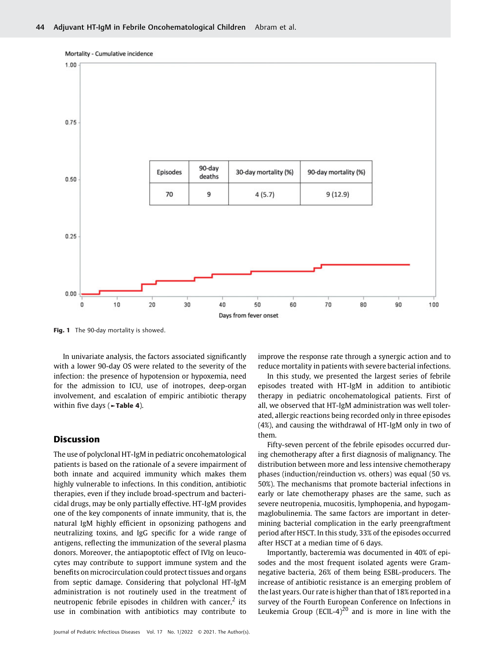

Fig. 1 The 90-day mortality is showed.

In univariate analysis, the factors associated significantly with a lower 90-day OS were related to the severity of the infection: the presence of hypotension or hypoxemia, need for the admission to ICU, use of inotropes, deep-organ involvement, and escalation of empiric antibiotic therapy within five days ( $\blacktriangleright$ **Table 4**).

#### Discussion

The use of polyclonal HT-IgM in pediatric oncohematological patients is based on the rationale of a severe impairment of both innate and acquired immunity which makes them highly vulnerable to infections. In this condition, antibiotic therapies, even if they include broad-spectrum and bactericidal drugs, may be only partially effective. HT-IgM provides one of the key components of innate immunity, that is, the natural IgM highly efficient in opsonizing pathogens and neutralizing toxins, and IgG specific for a wide range of antigens, reflecting the immunization of the several plasma donors. Moreover, the antiapoptotic effect of IVIg on leucocytes may contribute to support immune system and the benefits on microcirculation could protect tissues and organs from septic damage. Considering that polyclonal HT-IgM administration is not routinely used in the treatment of neutropenic febrile episodes in children with cancer, $2$  its use in combination with antibiotics may contribute to

Journal of Pediatric Infectious Diseases Vol. 17 No. 1/2022 © 2021. The Author(s).

improve the response rate through a synergic action and to reduce mortality in patients with severe bacterial infections.

In this study, we presented the largest series of febrile episodes treated with HT-IgM in addition to antibiotic therapy in pediatric oncohematological patients. First of all, we observed that HT-IgM administration was well tolerated, allergic reactions being recorded only in three episodes (4%), and causing the withdrawal of HT-IgM only in two of them.

Fifty-seven percent of the febrile episodes occurred during chemotherapy after a first diagnosis of malignancy. The distribution between more and less intensive chemotherapy phases (induction/reinduction vs. others) was equal (50 vs. 50%). The mechanisms that promote bacterial infections in early or late chemotherapy phases are the same, such as severe neutropenia, mucositis, lymphopenia, and hypogammaglobulinemia. The same factors are important in determining bacterial complication in the early preengraftment period after HSCT. In this study, 33% of the episodes occurred after HSCT at a median time of 6 days.

Importantly, bacteremia was documented in 40% of episodes and the most frequent isolated agents were Gramnegative bacteria, 26% of them being ESBL-producers. The increase of antibiotic resistance is an emerging problem of the last years. Our rate is higher than that of 18% reported in a survey of the Fourth European Conference on Infections in Leukemia Group (ECIL-4)<sup>20</sup> and is more in line with the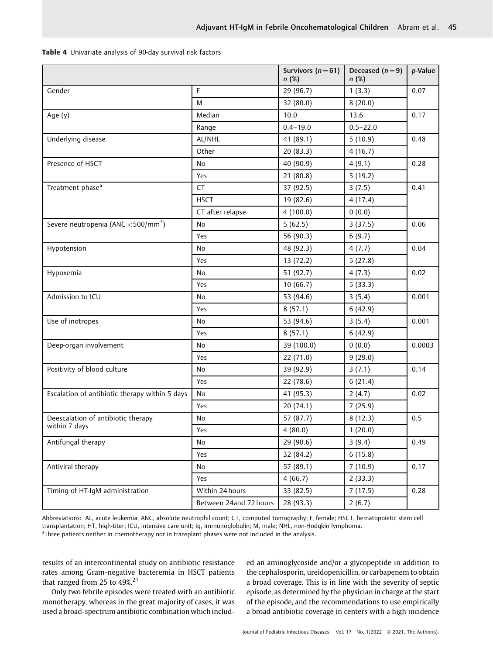|                                                   |                        | Survivors $(n=61)$<br>n(%) | Deceased $(n=9)$<br>n(%) | p-Value |
|---------------------------------------------------|------------------------|----------------------------|--------------------------|---------|
| Gender                                            | F                      | 29 (96.7)                  | 1(3.3)                   | 0.07    |
|                                                   | M                      | 32 (80.0)                  | 8(20.0)                  |         |
| Age (y)                                           | Median                 | 10.0                       | 13.6                     | 0.17    |
|                                                   | Range                  | $0.4 - 19.0$               | $0.5 - 22.0$             |         |
| Underlying disease                                | AL/NHL                 | 41 (89.1)                  | 5(10.9)                  | 0.48    |
|                                                   | Other                  | 20 (83.3)                  | 4(16.7)                  |         |
| Presence of HSCT                                  | No                     | 40 (90.9)                  | 4(9.1)                   | 0.28    |
|                                                   | Yes                    | 21(80.8)                   | 5(19.2)                  |         |
| Treatment phase <sup>a</sup>                      | CT                     | 37 (92.5)                  | 3(7.5)                   | 0.41    |
|                                                   | <b>HSCT</b>            | 19 (82.6)                  | 4(17.4)                  |         |
|                                                   | CT after relapse       | 4(100.0)                   | 0(0.0)                   |         |
| Severe neutropenia (ANC $<$ 500/mm <sup>3</sup> ) | N <sub>o</sub>         | 5(62.5)                    | 3(37.5)                  | 0.06    |
|                                                   | Yes                    | 56 (90.3)                  | 6(9.7)                   |         |
| Hypotension                                       | No                     | 48 (92.3)                  | 4(7.7)                   | 0.04    |
|                                                   | Yes                    | 13 (72.2)                  | 5(27.8)                  |         |
| Hypoxemia                                         | No                     | 51 (92.7)                  | 4(7.3)                   | 0.02    |
|                                                   | Yes                    | 10(66.7)                   | 5(33.3)                  |         |
| Admission to ICU                                  | No                     | 53 (94.6)                  | 3(5.4)                   | 0.001   |
|                                                   | Yes                    | 8(57.1)                    | 6(42.9)                  |         |
| Use of inotropes                                  | No                     | 53 (94.6)                  | 3(5.4)                   | 0.001   |
|                                                   | Yes                    | 8(57.1)                    | 6(42.9)                  |         |
| Deep-organ involvement                            | No                     | 39 (100.0)                 | 0(0.0)                   | 0.0003  |
|                                                   | Yes                    | 22 (71.0)                  | 9(29.0)                  |         |
| Positivity of blood culture                       | No                     | 39 (92.9)                  | 3(7.1)                   | 0.14    |
|                                                   | Yes                    | 22 (78.6)                  | 6(21.4)                  |         |
| Escalation of antibiotic therapy within 5 days    | No                     | 41 (95.3)                  | 2(4.7)                   | 0.02    |
|                                                   | Yes                    | 20(74.1)                   | 7(25.9)                  |         |
| Deescalation of antibiotic therapy                | No                     | 57 (87.7)                  | 8(12.3)                  | 0.5     |
| within 7 days                                     | Yes                    | 4(80.0)                    | 1(20.0)                  |         |
| Antifungal therapy                                | No                     | 29 (90.6)                  | 3(9.4)                   | 0.49    |
|                                                   | Yes                    | 32 (84.2)                  | 6(15.8)                  |         |
| Antiviral therapy                                 | No                     | 57 (89.1)                  | 7(10.9)                  | 0.17    |
|                                                   | Yes                    | 4(66.7)                    | 2(33.3)                  |         |
| Timing of HT-IgM administration                   | Within 24 hours        | 33 (82.5)                  | 7(17.5)                  | 0.28    |
|                                                   | Between 24and 72 hours | 28 (93.3)                  | 2(6.7)                   |         |

Abbreviations: AL, acute leukemia; ANC, absolute neutrophil count; CT, computed tomography; F, female; HSCT, hematopoietic stem cell transplantation; HT, high-titer; ICU, intensive care unit; Ig, immunoglobulin; M, male; NHL, non-Hodgkin lymphoma. <sup>a</sup>Three patients neither in chemotherapy nor in transplant phases were not included in the analysis.

results of an intercontinental study on antibiotic resistance rates among Gram-negative bacteremia in HSCT patients that ranged from 25 to 49%.<sup>21</sup>

Only two febrile episodes were treated with an antibiotic monotherapy, whereas in the great majority of cases, it was used a broad-spectrum antibiotic combination which included an aminoglycoside and/or a glycopeptide in addition to the cephalosporin, ureidopenicillin, or carbapenem to obtain a broad coverage. This is in line with the severity of septic episode, as determined by the physician in charge at the start of the episode, and the recommendations to use empirically a broad antibiotic coverage in centers with a high incidence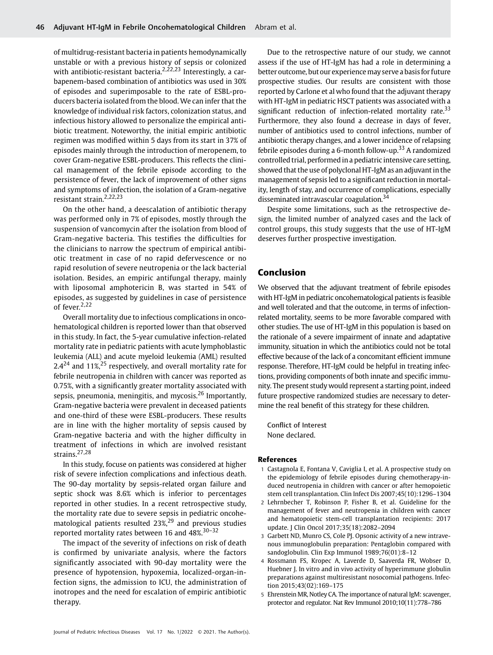of multidrug-resistant bacteria in patients hemodynamically unstable or with a previous history of sepsis or colonized with antibiotic-resistant bacteria.<sup>2,22,23</sup> Interestingly, a carbapenem-based combination of antibiotics was used in 30% of episodes and superimposable to the rate of ESBL-producers bacteria isolated from the blood. We can infer that the knowledge of individual risk factors, colonization status, and infectious history allowed to personalize the empirical antibiotic treatment. Noteworthy, the initial empiric antibiotic regimen was modified within 5 days from its start in 37% of episodes mainly through the introduction of meropenem, to cover Gram-negative ESBL-producers. This reflects the clinical management of the febrile episode according to the persistence of fever, the lack of improvement of other signs and symptoms of infection, the isolation of a Gram-negative resistant strain.2,22,23

On the other hand, a deescalation of antibiotic therapy was performed only in 7% of episodes, mostly through the suspension of vancomycin after the isolation from blood of Gram-negative bacteria. This testifies the difficulties for the clinicians to narrow the spectrum of empirical antibiotic treatment in case of no rapid defervescence or no rapid resolution of severe neutropenia or the lack bacterial isolation. Besides, an empiric antifungal therapy, mainly with liposomal amphotericin B, was started in 54% of episodes, as suggested by guidelines in case of persistence of fever.<sup>2,22</sup>

Overall mortality due to infectious complications in oncohematological children is reported lower than that observed in this study. In fact, the 5-year cumulative infection-related mortality rate in pediatric patients with acute lymphoblastic leukemia (ALL) and acute myeloid leukemia (AML) resulted  $2.4^{24}$  and  $11\%,^{25}$  respectively, and overall mortality rate for febrile neutropenia in children with cancer was reported as 0.75%, with a significantly greater mortality associated with sepsis, pneumonia, meningitis, and mycosis.<sup>26</sup> Importantly, Gram-negative bacteria were prevalent in deceased patients and one-third of these were ESBL-producers. These results are in line with the higher mortality of sepsis caused by Gram-negative bacteria and with the higher difficulty in treatment of infections in which are involved resistant strains.<sup>27,28</sup>

In this study, focuse on patients was considered at higher risk of severe infection complications and infectious death. The 90-day mortality by sepsis-related organ failure and septic shock was 8.6% which is inferior to percentages reported in other studies. In a recent retrospective study, the mortality rate due to severe sepsis in pediatric oncohematological patients resulted 23%,<sup>29</sup> and previous studies reported mortality rates between 16 and 48%.30–<sup>32</sup>

The impact of the severity of infections on risk of death is confirmed by univariate analysis, where the factors significantly associated with 90-day mortality were the presence of hypotension, hypoxemia, localized-organ-infection signs, the admission to ICU, the administration of inotropes and the need for escalation of empiric antibiotic therapy.

Due to the retrospective nature of our study, we cannot assess if the use of HT-IgM has had a role in determining a better outcome, but our experiencemay serve a basis for future prospective studies. Our results are consistent with those reported by Carlone et al who found that the adjuvant therapy with HT-IgM in pediatric HSCT patients was associated with a significant reduction of infection-related mortality rate. $33$ Furthermore, they also found a decrease in days of fever, number of antibiotics used to control infections, number of antibiotic therapy changes, and a lower incidence of relapsing febrile episodes during a 6-month follow-up.<sup>33</sup> A randomized controlled trial, performed in a pediatric intensive care setting, showed that the use of polyclonal HT-IgM as an adjuvant in the management of sepsis led to a significant reduction in mortality, length of stay, and occurrence of complications, especially disseminated intravascular coagulation.<sup>34</sup>

Despite some limitations, such as the retrospective design, the limited number of analyzed cases and the lack of control groups, this study suggests that the use of HT-IgM deserves further prospective investigation.

### Conclusion

We observed that the adjuvant treatment of febrile episodes with HT-IgM in pediatric oncohematological patients is feasible and well tolerated and that the outcome, in terms of infectionrelated mortality, seems to be more favorable compared with other studies. The use of HT-IgM in this population is based on the rationale of a severe impairment of innate and adaptative immunity, situation in which the antibiotics could not be total effective because of the lack of a concomitant efficient immune response. Therefore, HT-IgM could be helpful in treating infections, providing components of both innate and specific immunity. The present study would represent a starting point, indeed future prospective randomized studies are necessary to determine the real benefit of this strategy for these children.

Conflict of Interest None declared.

#### References

- 1 Castagnola E, Fontana V, Caviglia I, et al. A prospective study on the epidemiology of febrile episodes during chemotherapy-induced neutropenia in children with cancer or after hemopoietic stem cell transplantation. Clin Infect Dis 2007;45(10):1296–1304
- 2 Lehrnbecher T, Robinson P, Fisher B, et al. Guideline for the management of fever and neutropenia in children with cancer and hematopoietic stem-cell transplantation recipients: 2017 update. J Clin Oncol 2017;35(18):2082–2094
- 3 Garbett ND, Munro CS, Cole PJ. Opsonic activity of a new intravenous immunoglobulin preparation: Pentaglobin compared with sandoglobulin. Clin Exp Immunol 1989;76(01):8–12
- 4 Rossmann FS, Kropec A, Laverde D, Saaverda FR, Wobser D, Huebner J. In vitro and in vivo activity of hyperimmune globulin preparations against multiresistant nosocomial pathogens. Infection 2015;43(02):169–175
- 5 Ehrenstein MR, Notley CA. The importance of natural IgM: scavenger, protector and regulator. Nat Rev Immunol 2010;10(11):778–786